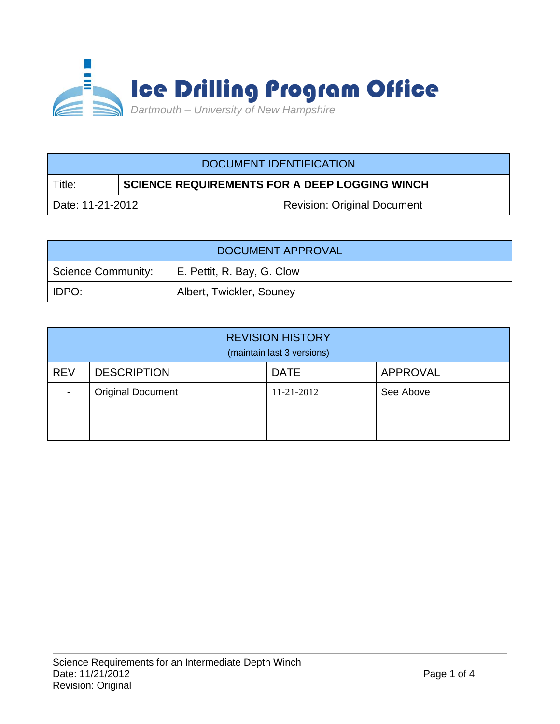

| DOCUMENT IDENTIFICATION |                                                      |                                    |  |  |
|-------------------------|------------------------------------------------------|------------------------------------|--|--|
| Title:                  | <b>SCIENCE REQUIREMENTS FOR A DEEP LOGGING WINCH</b> |                                    |  |  |
| Date: 11-21-2012        |                                                      | <b>Revision: Original Document</b> |  |  |

| DOCUMENT APPROVAL         |                            |  |  |  |
|---------------------------|----------------------------|--|--|--|
| <b>Science Community:</b> | E. Pettit, R. Bay, G. Clow |  |  |  |
| IDPO:                     | Albert, Twickler, Souney   |  |  |  |

| <b>REVISION HISTORY</b><br>(maintain last 3 versions) |                          |             |           |  |  |
|-------------------------------------------------------|--------------------------|-------------|-----------|--|--|
| <b>REV</b>                                            | <b>DESCRIPTION</b>       | <b>DATE</b> | APPROVAL  |  |  |
| ٠                                                     | <b>Original Document</b> | 11-21-2012  | See Above |  |  |
|                                                       |                          |             |           |  |  |
|                                                       |                          |             |           |  |  |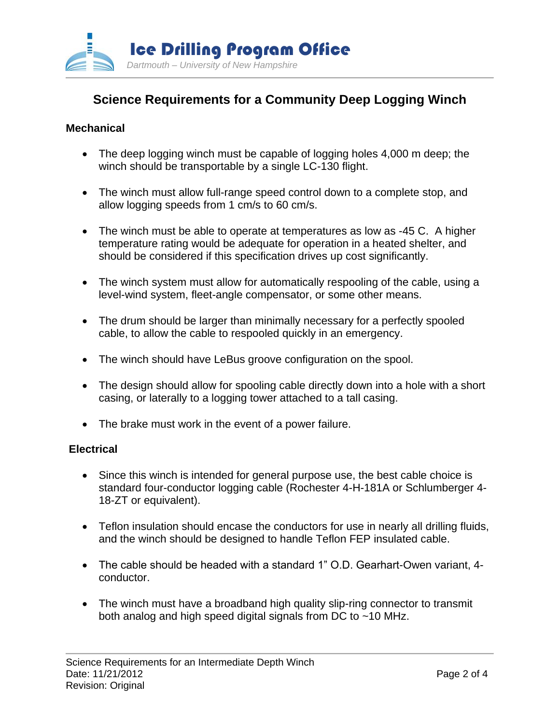

# **Science Requirements for a Community Deep Logging Winch**

## **Mechanical**

- The deep logging winch must be capable of logging holes 4,000 m deep; the winch should be transportable by a single LC-130 flight.
- The winch must allow full-range speed control down to a complete stop, and allow logging speeds from 1 cm/s to 60 cm/s.
- The winch must be able to operate at temperatures as low as -45 C. A higher temperature rating would be adequate for operation in a heated shelter, and should be considered if this specification drives up cost significantly.
- The winch system must allow for automatically respooling of the cable, using a level-wind system, fleet-angle compensator, or some other means.
- The drum should be larger than minimally necessary for a perfectly spooled cable, to allow the cable to respooled quickly in an emergency.
- The winch should have LeBus groove configuration on the spool.
- The design should allow for spooling cable directly down into a hole with a short casing, or laterally to a logging tower attached to a tall casing.
- The brake must work in the event of a power failure.

## **Electrical**

- Since this winch is intended for general purpose use, the best cable choice is standard four-conductor logging cable (Rochester 4-H-181A or Schlumberger 4- 18-ZT or equivalent).
- Teflon insulation should encase the conductors for use in nearly all drilling fluids, and the winch should be designed to handle Teflon FEP insulated cable.
- The cable should be headed with a standard 1" O.D. Gearhart-Owen variant, 4 conductor.
- The winch must have a broadband high quality slip-ring connector to transmit both analog and high speed digital signals from DC to ~10 MHz.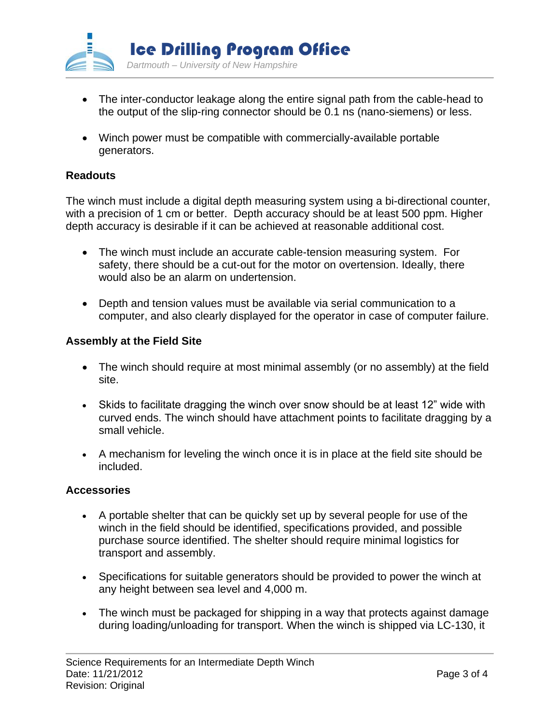

- The inter-conductor leakage along the entire signal path from the cable-head to the output of the slip-ring connector should be 0.1 ns (nano-siemens) or less.
- Winch power must be compatible with commercially-available portable generators.

# **Readouts**

The winch must include a digital depth measuring system using a bi-directional counter, with a precision of 1 cm or better. Depth accuracy should be at least 500 ppm. Higher depth accuracy is desirable if it can be achieved at reasonable additional cost.

- The winch must include an accurate cable-tension measuring system. For safety, there should be a cut-out for the motor on overtension. Ideally, there would also be an alarm on undertension.
- Depth and tension values must be available via serial communication to a computer, and also clearly displayed for the operator in case of computer failure.

## **Assembly at the Field Site**

- The winch should require at most minimal assembly (or no assembly) at the field site.
- Skids to facilitate dragging the winch over snow should be at least 12" wide with curved ends. The winch should have attachment points to facilitate dragging by a small vehicle.
- A mechanism for leveling the winch once it is in place at the field site should be included.

## **Accessories**

- A portable shelter that can be quickly set up by several people for use of the winch in the field should be identified, specifications provided, and possible purchase source identified. The shelter should require minimal logistics for transport and assembly.
- Specifications for suitable generators should be provided to power the winch at any height between sea level and 4,000 m.
- The winch must be packaged for shipping in a way that protects against damage during loading/unloading for transport. When the winch is shipped via LC-130, it